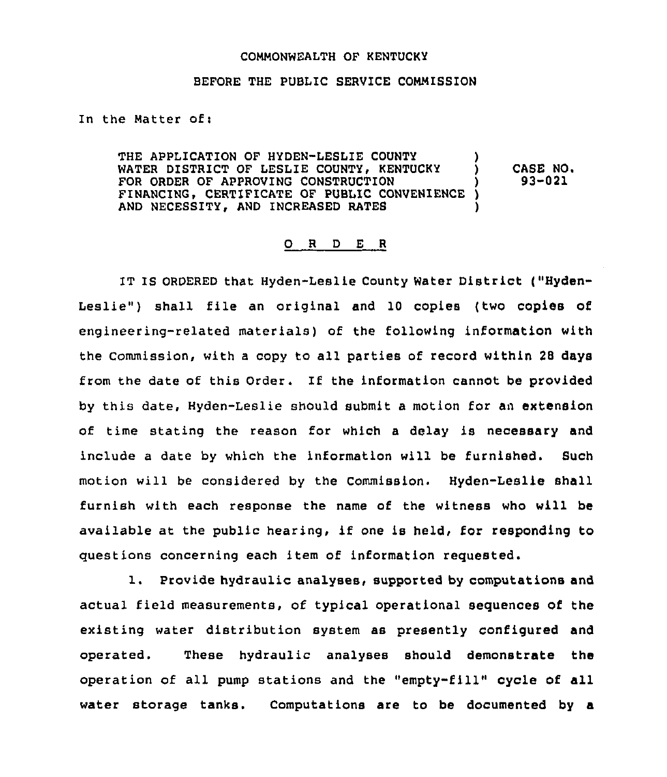## COMMONWEALTH OF KENTUCKY

## BEFORE THE PUBLIC SERVICE COMMISSION

In the Matter of:

THE APPLICATION OF HYDEN-LESLIE COUNTY WATER DISTRICT OF LESLIE COUNTY, KENTUCKY FOR ORDER OF APPROVING CONSTRUCTION FINANCING, CERTIFICATE OF PUBLIC CONVENIENCE AND NECESSITY, AND INCREASED RATES ) ) CASE NO <sup>~</sup> ) 93-021  $\lambda$ )

## 0 <sup>R</sup> <sup>D</sup> <sup>E</sup> <sup>R</sup>

IT IS ORDERED that Hyden-Leslie County Water District ("Hyden-Leslie") shall file an original and 10 copies (two copies of engineering-related materials) of the following information with the Commission, with <sup>a</sup> copy to all parties of record within 28 days from the date of this Order. If the information cannot be provided by this date, Hyden-Leslie should submit a motion for an extension of time stating the reason for which <sup>a</sup> delay is necessary and include a date by which the information will be furnished. Such motion will be considered by the Commission. Hyden-Leslie shall furnish with each response the name of the witness who will be available at the public hearing, if one is held, for responding to questions concerning each item of information requested.

l. Provide hydraulic analyses, supported by computations and actual field measurements, of typical operational sequences of the existing water distribution system as presently configured and operated. These hydraulic analyses should demonstrate the operation of all pump stations and the "empty-fill" cycle of all water storage tanks. Computations are to be documented by a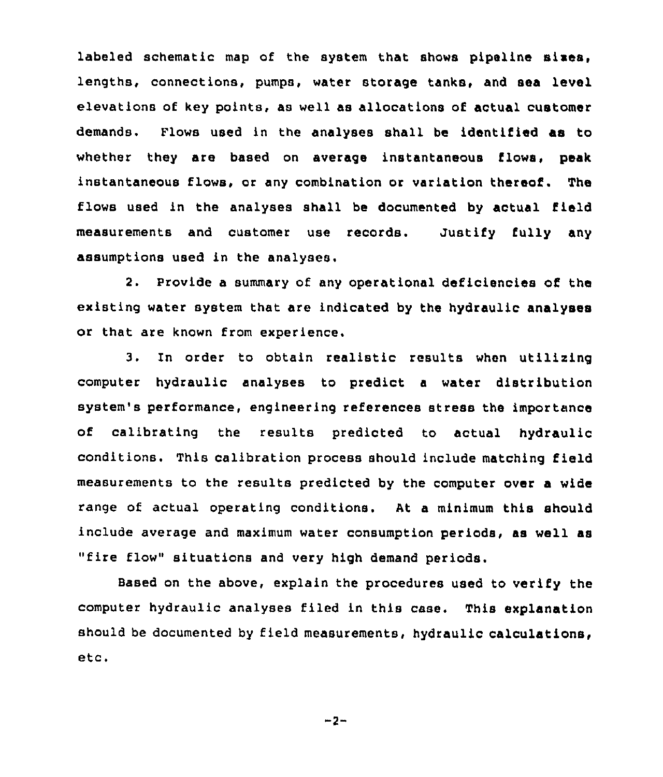labeled schematic map of the system that shows pipeline sixes, lengths, connections, pumps, water storage tanks, and sea level elevations of key points, as well as allocations of actual customer demands. Flows used in the analyses shall be identified as to whether they are based on average instantaneous flows, peak instantaneous flows, or any combination or variation thereof. The flows used in the analyses shall be documented by actual field measurements and customer use records. Justify fully any assumptions used in the analyses.

2. Provide a summary of any operational deficiencies of the existing water system that are indicated by the hydraulic analyses or that are known from experience,

3. In order to obtain realistic results when utilising computer hydraulic analyses to predict a water distribution system's performance, engineering references stress the importance of calibrating the results predicted to actual hydraulic conditions. This calibration process should include matching field measurements to the results predicted by the computer over a wide range of actual operating conditions. At a minimum this should include average and maximum water consumption periods, as well as "fire flow" situations and very high demand

Based on the above, explain the procedures used to verify the computer hydraulic analyses filed in this case. This explanation should be documented by field measurements, hydraulic calculations, etc.

 $-2-$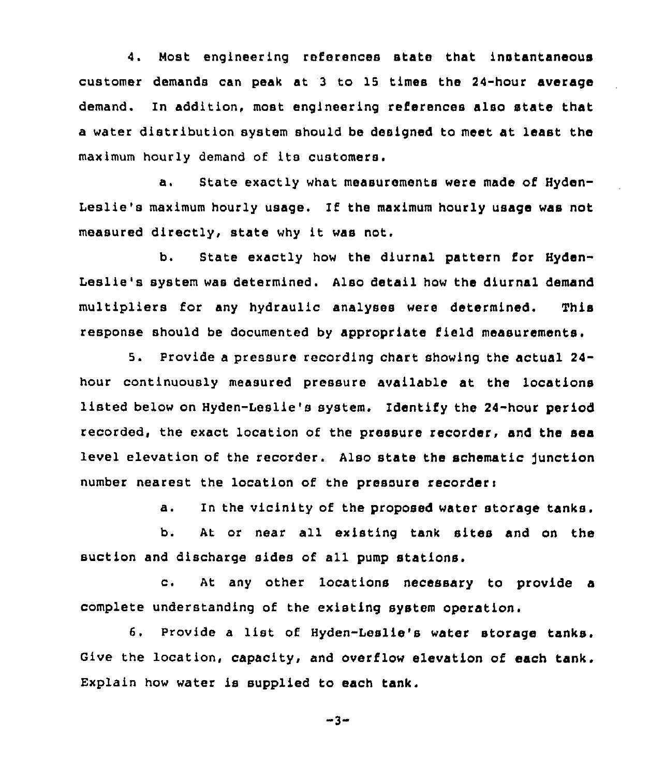4. Most engineering references state that instantaneous customer demands can peak at 3 to 15 times the 24-hour average demand. In addition, most engineering references also state that a water distribution system should be designed to meet at least the maximum hourly demand of its customers.

a. State exactly what measurements were made of Hyden-Leslie's maximum hourly usage. If the maximum hourly usage was not measured directly, state why it was not.

b. State exactly how the diurnal pattern for Hyden-Leslie's system was determined. Also detail how the diurnal demand multipliers for any hydraulic analyses were determined. This response should be documented by appropriate field measurements.

5. Provide a pressure recording chart showing the actual 24 hour continuously measured pressure available at the locations listed below on Hyden-Leslie's system. Identify the 24-hour period recorded, the exact location of the pressure recorder, and the sea level elevation of the recorder. Also state the schematic junction number nearest the location of the pressure recorders

a. In the vicinity of the proposed water storage tanks.

b. At or near all existing tank sites and on the suction and discharge sides of all pump stations.

c. At any other locations necessary to provide a complete understanding of the existing system operation.

6. Provide a list of Hyden-Leslie's water storage tanks. Give the location, capacity, and overflow elevation of each tank. Explain how water is supplied to each tank.

$$
-3-
$$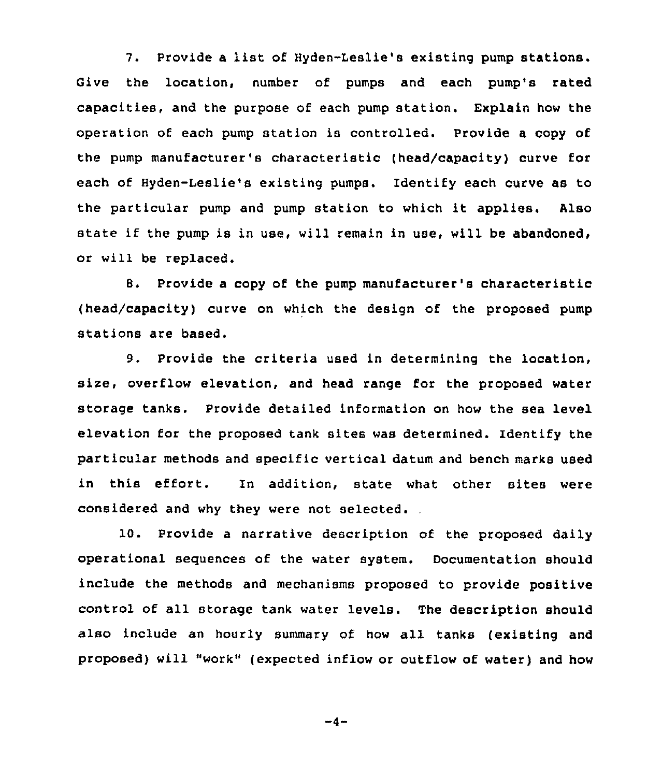7. Provide <sup>a</sup> list of Hyden-Leslie's existing pump stations. Give the location, number of pumps and each pump's rated capacities, and the purpose of each pump station. Explain how the operation of each pump station is controlled. Provide a copy of the pump manufacturer's characteristic (head/capacity) curve for each of Hyden-Leslie's existing pumps. Identify each curve as to the particular pump and pump station to which it applies. Also state if the pump is in use, will remain in use, will be abandoned, or will be replaced.

B. Provide a copy of the pump manufacturer's characteristic (head/capacity) curve on which the design of the proposed pump stations are based.

9. Provide the criteria used in determining the location, size, overflow elevation, and head range for the proposed water storage tanks. Provide detailed information on how the sea level elevation for the proposed tank sites was determined. Identify the particular methods and specific vertical datum and bench marks used in this effort. In addition, state what other sites were considered and why they were not selected.

10. Provide a narrative description of the proposed daily operational sequences of the water system. Documentation should include the methods and mechanisms proposed to provide positive control of all storage tank water levels. The description should also include an hourly summary of how all tanks (existing and proposed) will "work" (expected inflow or outflow of water) and how

 $-4-$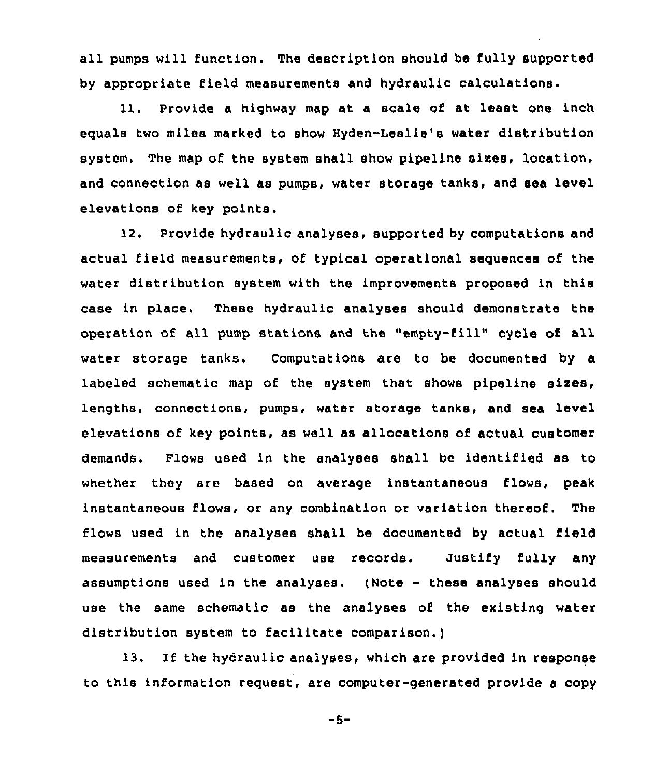all pumps will function. The description should be fully supported by appropriate field measurements and hydraulic calculations.

11. Provide a highway map at a scale of at least one inch equals two miles marked to show Hyden-Leslie's water distribution system. The map of the system shall show pipeline sixes, location, and connection as well as pumps, water storage tanks, and sea level elevations of key points.

12. Provide hydraulic analyses, supported by computations and actual field measurements, of typical operational sequences of the water distribution system with the improvements proposed in this case in place. These hydraulic analyses should demonstrate the operation of all pump stations and the "empty-fill" cycle of all. water storage tanks. Computations are to be documented by a labeled schematic map of the system that shows pipeline sixes, lengths, connections, pumps, water storage tanks, and sea level elevations of key points, as well as allocations of actual customer demands. Flows used in the analyses shall be identified as to whether they are based on average instantaneous flows, peak instantaneous flows, or any combination or variation thereof. The flows used in the analyses shall be documented by actual field measurements and customer use records. Justify fully any assumptions used in the analyses. (Note — these analyses should use the same schematic as the analyses of the existing water distribution system to facilitate comparison.)

13. If the hydraulic analyses, which are provided in response to this information request, are computer-generated provide a copy

 $-5-$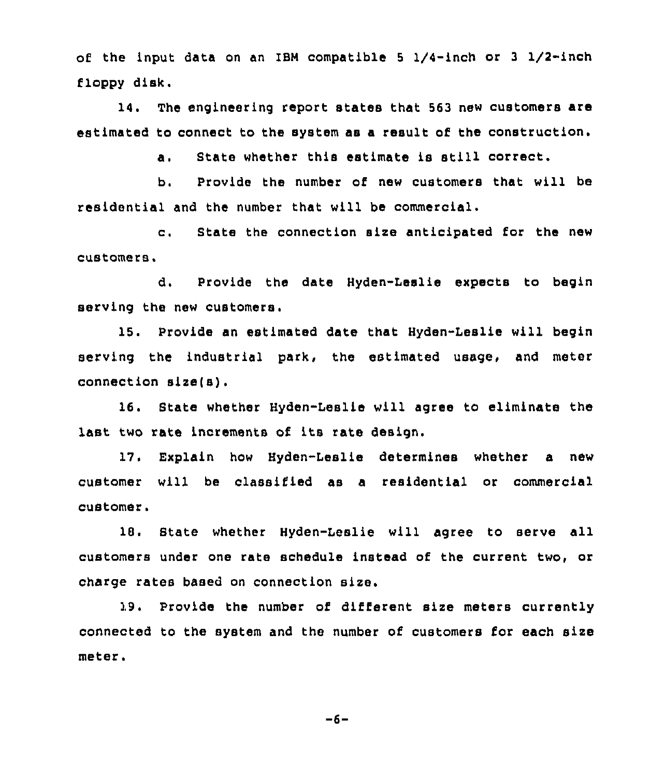of the input data on an IBM compatible <sup>5</sup> 1/4-inch or <sup>3</sup> I/2-inch floppy disk.

14. The engineering report states that 563 new customers are estimated to connect to the system as a result of the construction.

a. State whether this estimate is still correct.

b. Provide the number of new customers that will be residential and the number that will be commercial.

c. State the connection size anticipated for the new customers,

d. Provide the date Hyden-Leslie expects to begin serving the new customers.

15. Provide an estimated date that Hyden-Leslie will begin serving the industrial park, the estimated usage, and meter connection size(s),

16. State whether Hyden-Leslie will agree to eliminate the last two rate increments of its rate design.

17. Explain how Hyden-Leslie determines whether a new customer will be classified as a residential or commercial customer.

18. State whether Hyden-Leslie will agree to serve all customers under one rate schedule instead of the current two, or charge rates based on connection size.

19. Provide the number of different size meters currently connected to the system and the number of customers for each size meter.

 $-6-$